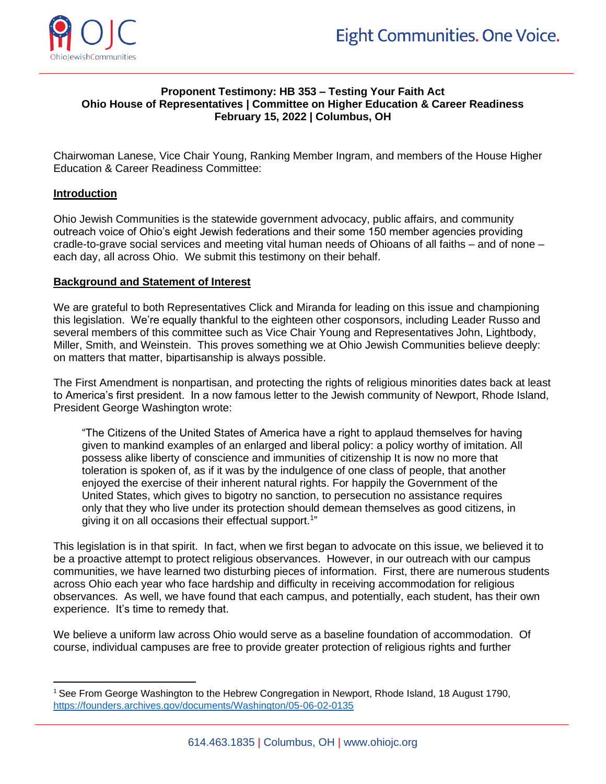

#### **Proponent Testimony: HB 353 – Testing Your Faith Act Ohio House of Representatives | Committee on Higher Education & Career Readiness February 15, 2022 | Columbus, OH**

Chairwoman Lanese, Vice Chair Young, Ranking Member Ingram, and members of the House Higher Education & Career Readiness Committee:

#### **Introduction**

Ohio Jewish Communities is the statewide government advocacy, public affairs, and community outreach voice of Ohio's eight Jewish federations and their some 150 member agencies providing cradle-to-grave social services and meeting vital human needs of Ohioans of all faiths – and of none – each day, all across Ohio. We submit this testimony on their behalf.

#### **Background and Statement of Interest**

We are grateful to both Representatives Click and Miranda for leading on this issue and championing this legislation. We're equally thankful to the eighteen other cosponsors, including Leader Russo and several members of this committee such as Vice Chair Young and Representatives John, Lightbody, Miller, Smith, and Weinstein. This proves something we at Ohio Jewish Communities believe deeply: on matters that matter, bipartisanship is always possible.

The First Amendment is nonpartisan, and protecting the rights of religious minorities dates back at least to America's first president. In a now famous letter to the Jewish community of Newport, Rhode Island, President George Washington wrote:

"The Citizens of the United States of America have a right to applaud themselves for having given to mankind examples of an enlarged and liberal policy: a policy worthy of imitation. All possess alike liberty of conscience and immunities of citizenship It is now no more that toleration is spoken of, as if it was by the indulgence of one class of people, that another enjoyed the exercise of their inherent natural rights. For happily the Government of the United States, which gives to bigotry no sanction, to persecution no assistance requires only that they who live under its protection should demean themselves as good citizens, in giving it on all occasions their effectual support.<sup>1</sup>"

This legislation is in that spirit. In fact, when we first began to advocate on this issue, we believed it to be a proactive attempt to protect religious observances. However, in our outreach with our campus communities, we have learned two disturbing pieces of information. First, there are numerous students across Ohio each year who face hardship and difficulty in receiving accommodation for religious observances. As well, we have found that each campus, and potentially, each student, has their own experience. It's time to remedy that.

We believe a uniform law across Ohio would serve as a baseline foundation of accommodation. Of course, individual campuses are free to provide greater protection of religious rights and further

<sup>&</sup>lt;sup>1</sup> See From George Washington to the Hebrew Congregation in Newport, Rhode Island, 18 August 1790, <https://founders.archives.gov/documents/Washington/05-06-02-0135>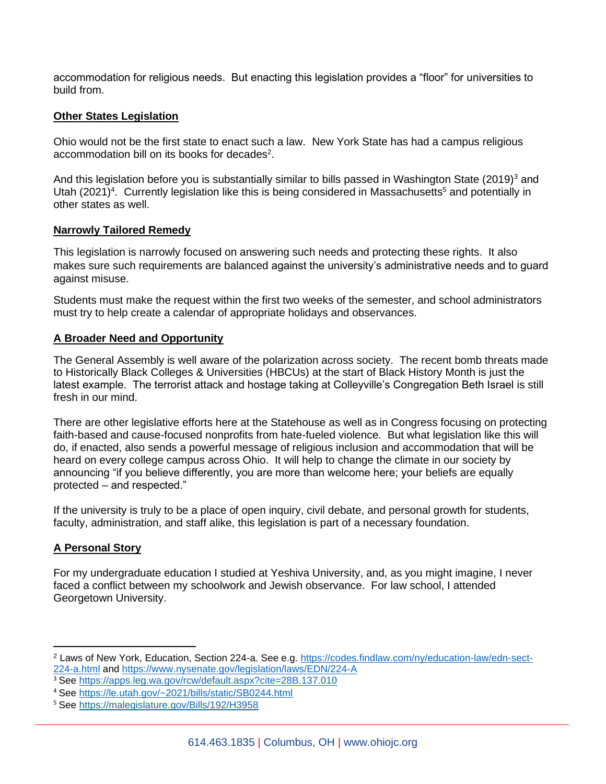accommodation for religious needs. But enacting this legislation provides a "floor" for universities to build from.

## **Other States Legislation**

Ohio would not be the first state to enact such a law. New York State has had a campus religious accommodation bill on its books for decades<sup>2</sup>.

And this legislation before you is substantially similar to bills passed in Washington State (2019)<sup>3</sup> and Utah (2021)<sup>4</sup>. Currently legislation like this is being considered in Massachusetts<sup>5</sup> and potentially in other states as well.

#### **Narrowly Tailored Remedy**

This legislation is narrowly focused on answering such needs and protecting these rights. It also makes sure such requirements are balanced against the university's administrative needs and to guard against misuse.

Students must make the request within the first two weeks of the semester, and school administrators must try to help create a calendar of appropriate holidays and observances.

#### **A Broader Need and Opportunity**

The General Assembly is well aware of the polarization across society. The recent bomb threats made to Historically Black Colleges & Universities (HBCUs) at the start of Black History Month is just the latest example. The terrorist attack and hostage taking at Colleyville's Congregation Beth Israel is still fresh in our mind.

There are other legislative efforts here at the Statehouse as well as in Congress focusing on protecting faith-based and cause-focused nonprofits from hate-fueled violence. But what legislation like this will do, if enacted, also sends a powerful message of religious inclusion and accommodation that will be heard on every college campus across Ohio. It will help to change the climate in our society by announcing "if you believe differently, you are more than welcome here; your beliefs are equally protected – and respected."

If the university is truly to be a place of open inquiry, civil debate, and personal growth for students, faculty, administration, and staff alike, this legislation is part of a necessary foundation.

## **A Personal Story**

For my undergraduate education I studied at Yeshiva University, and, as you might imagine, I never faced a conflict between my schoolwork and Jewish observance. For law school, I attended Georgetown University.

<sup>2</sup> Laws of New York, Education, Section 224-a. See e.g. [https://codes.findlaw.com/ny/education-law/edn-sect-](https://codes.findlaw.com/ny/education-law/edn-sect-224-a.html)[224-a.html](https://codes.findlaw.com/ny/education-law/edn-sect-224-a.html) and<https://www.nysenate.gov/legislation/laws/EDN/224-A>

<sup>3</sup> See<https://apps.leg.wa.gov/rcw/default.aspx?cite=28B.137.010>

<sup>4</sup> See<https://le.utah.gov/~2021/bills/static/SB0244.html>

<sup>5</sup> See<https://malegislature.gov/Bills/192/H3958>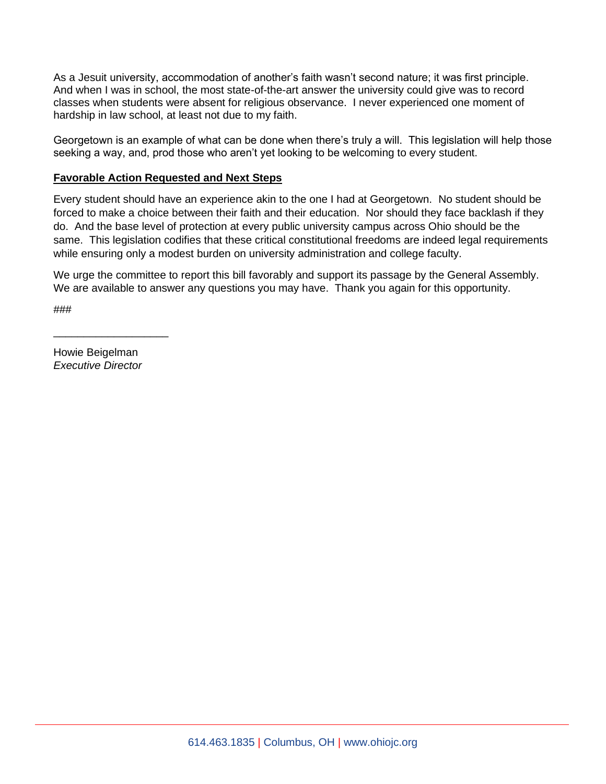As a Jesuit university, accommodation of another's faith wasn't second nature; it was first principle. And when I was in school, the most state-of-the-art answer the university could give was to record classes when students were absent for religious observance. I never experienced one moment of hardship in law school, at least not due to my faith.

Georgetown is an example of what can be done when there's truly a will. This legislation will help those seeking a way, and, prod those who aren't yet looking to be welcoming to every student.

### **Favorable Action Requested and Next Steps**

Every student should have an experience akin to the one I had at Georgetown. No student should be forced to make a choice between their faith and their education. Nor should they face backlash if they do. And the base level of protection at every public university campus across Ohio should be the same. This legislation codifies that these critical constitutional freedoms are indeed legal requirements while ensuring only a modest burden on university administration and college faculty.

We urge the committee to report this bill favorably and support its passage by the General Assembly. We are available to answer any questions you may have. Thank you again for this opportunity.

###

Howie Beigelman *Executive Director* 

\_\_\_\_\_\_\_\_\_\_\_\_\_\_\_\_\_\_\_